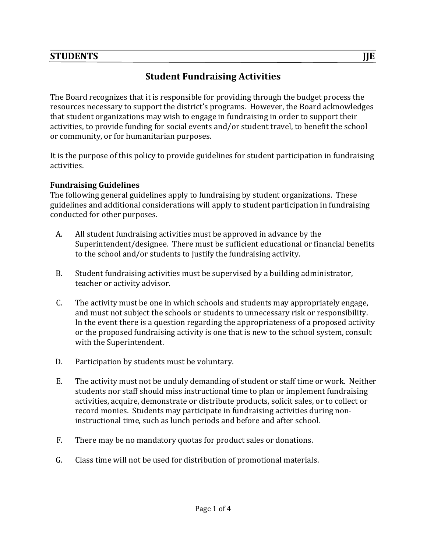# STUDENTS JJJE

# **Student Fundraising Activities**

The Board recognizes that it is responsible for providing through the budget process the resources necessary to support the district's programs. However, the Board acknowledges that student organizations may wish to engage in fundraising in order to support their activities, to provide funding for social events and/or student travel, to benefit the school or community, or for humanitarian purposes.

It is the purpose of this policy to provide guidelines for student participation in fundraising activities.

#### **Fundraising Guidelines**

The following general guidelines apply to fundraising by student organizations. These guidelines and additional considerations will apply to student participation in fundraising conducted for other purposes.

- A. All student fundraising activities must be approved in advance by the Superintendent/designee. There must be sufficient educational or financial benefits to the school and/or students to justify the fundraising activity.
- B. Student fundraising activities must be supervised by a building administrator, teacher or activity advisor.
- C. The activity must be one in which schools and students may appropriately engage, and must not subject the schools or students to unnecessary risk or responsibility. In the event there is a question regarding the appropriateness of a proposed activity or the proposed fundraising activity is one that is new to the school system, consult with the Superintendent.
- D. Participation by students must be voluntary.
- E. The activity must not be unduly demanding of student or staff time or work. Neither students nor staff should miss instructional time to plan or implement fundraising activities, acquire, demonstrate or distribute products, solicit sales, or to collect or record monies. Students may participate in fundraising activities during noninstructional time, such as lunch periods and before and after school.
- F. There may be no mandatory quotas for product sales or donations.
- G. Class time will not be used for distribution of promotional materials.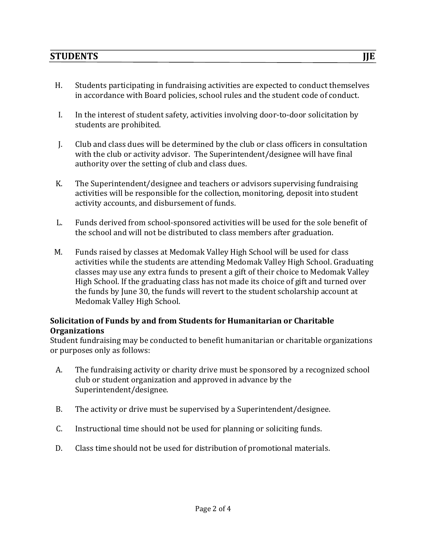- H. Students participating in fundraising activities are expected to conduct themselves in accordance with Board policies, school rules and the student code of conduct.
- I. In the interest of student safety, activities involving door-to-door solicitation by students are prohibited.
- I. Club and class dues will be determined by the club or class officers in consultation with the club or activity advisor. The Superintendent/designee will have final authority over the setting of club and class dues.
- K. The Superintendent/designee and teachers or advisors supervising fundraising activities will be responsible for the collection, monitoring, deposit into student activity accounts, and disbursement of funds.
- L. Funds derived from school-sponsored activities will be used for the sole benefit of the school and will not be distributed to class members after graduation.
- M. Funds raised by classes at Medomak Valley High School will be used for class activities while the students are attending Medomak Valley High School. Graduating classes may use any extra funds to present a gift of their choice to Medomak Valley High School. If the graduating class has not made its choice of gift and turned over the funds by June 30, the funds will revert to the student scholarship account at Medomak Valley High School.

#### **Solicitation of Funds by and from Students for Humanitarian or Charitable Organizations**

Student fundraising may be conducted to benefit humanitarian or charitable organizations or purposes only as follows:

- A. The fundraising activity or charity drive must be sponsored by a recognized school club or student organization and approved in advance by the Superintendent/designee.
- B. The activity or drive must be supervised by a Superintendent/designee.
- C. Instructional time should not be used for planning or soliciting funds.
- D. Class time should not be used for distribution of promotional materials.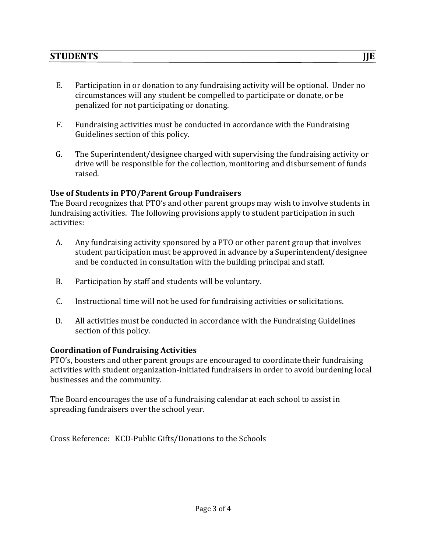- E. Participation in or donation to any fundraising activity will be optional. Under no circumstances will any student be compelled to participate or donate, or be penalized for not participating or donating.
- F. Fundraising activities must be conducted in accordance with the Fundraising Guidelines section of this policy.
- G. The Superintendent/designee charged with supervising the fundraising activity or drive will be responsible for the collection, monitoring and disbursement of funds raised.

## **Use of Students in PTO/Parent Group Fundraisers**

The Board recognizes that PTO's and other parent groups may wish to involve students in fundraising activities. The following provisions apply to student participation in such activities: 

- A. Any fundraising activity sponsored by a PTO or other parent group that involves student participation must be approved in advance by a Superintendent/designee and be conducted in consultation with the building principal and staff.
- B. Participation by staff and students will be voluntary.
- C. Instructional time will not be used for fundraising activities or solicitations.
- D. All activities must be conducted in accordance with the Fundraising Guidelines section of this policy.

## **Coordination of Fundraising Activities**

PTO's, boosters and other parent groups are encouraged to coordinate their fundraising activities with student organization-initiated fundraisers in order to avoid burdening local businesses and the community.

The Board encourages the use of a fundraising calendar at each school to assist in spreading fundraisers over the school year.

Cross Reference: KCD-Public Gifts/Donations to the Schools